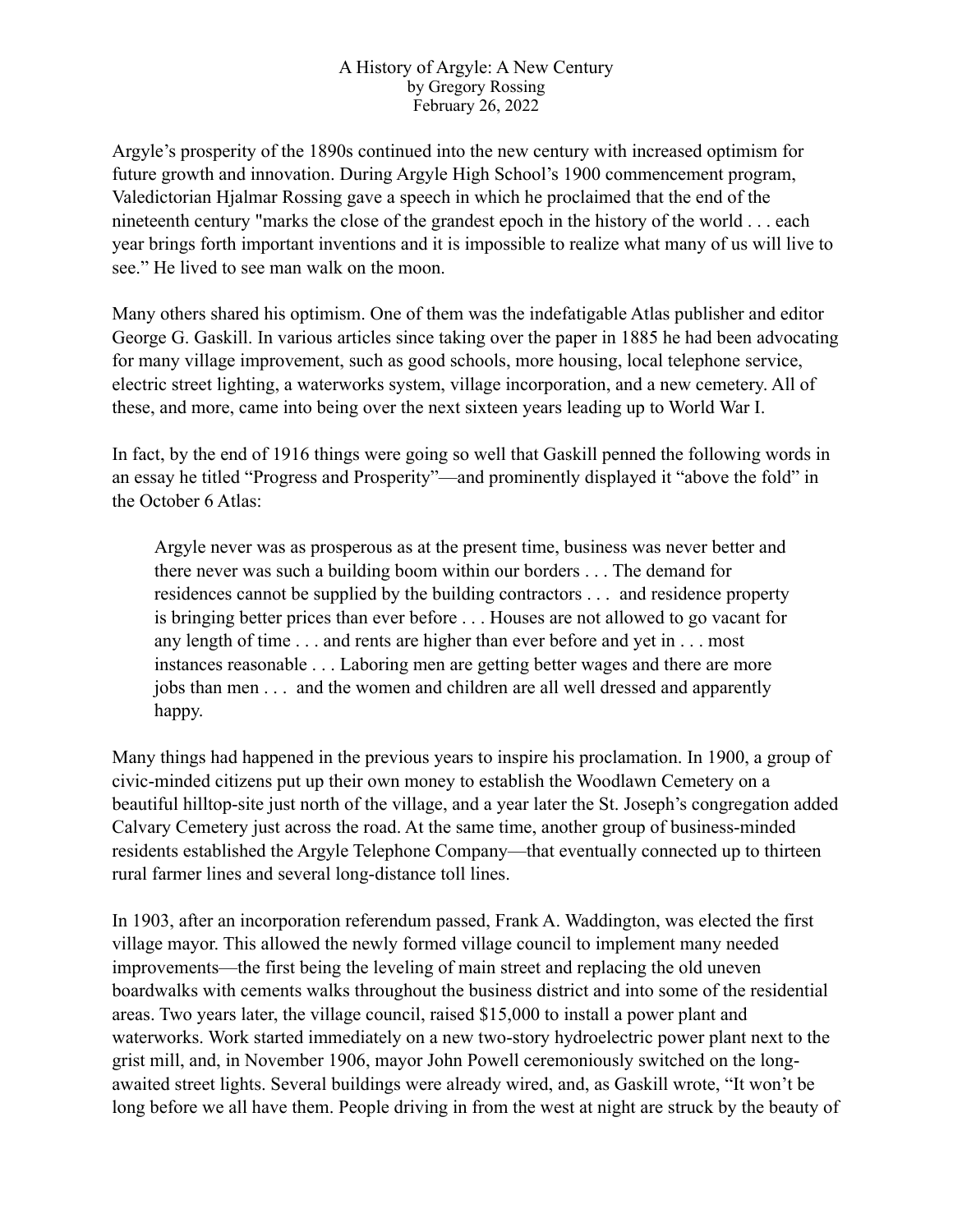## A History of Argyle: A New Century by Gregory Rossing February 26, 2022

Argyle's prosperity of the 1890s continued into the new century with increased optimism for future growth and innovation. During Argyle High School's 1900 commencement program, Valedictorian Hjalmar Rossing gave a speech in which he proclaimed that the end of the nineteenth century "marks the close of the grandest epoch in the history of the world . . . each year brings forth important inventions and it is impossible to realize what many of us will live to see." He lived to see man walk on the moon.

Many others shared his optimism. One of them was the indefatigable Atlas publisher and editor George G. Gaskill. In various articles since taking over the paper in 1885 he had been advocating for many village improvement, such as good schools, more housing, local telephone service, electric street lighting, a waterworks system, village incorporation, and a new cemetery. All of these, and more, came into being over the next sixteen years leading up to World War I.

In fact, by the end of 1916 things were going so well that Gaskill penned the following words in an essay he titled "Progress and Prosperity"—and prominently displayed it "above the fold" in the October 6 Atlas:

Argyle never was as prosperous as at the present time, business was never better and there never was such a building boom within our borders . . . The demand for residences cannot be supplied by the building contractors . . . and residence property is bringing better prices than ever before . . . Houses are not allowed to go vacant for any length of time . . . and rents are higher than ever before and yet in . . . most instances reasonable . . . Laboring men are getting better wages and there are more jobs than men . . . and the women and children are all well dressed and apparently happy.

Many things had happened in the previous years to inspire his proclamation. In 1900, a group of civic-minded citizens put up their own money to establish the Woodlawn Cemetery on a beautiful hilltop-site just north of the village, and a year later the St. Joseph's congregation added Calvary Cemetery just across the road. At the same time, another group of business-minded residents established the Argyle Telephone Company—that eventually connected up to thirteen rural farmer lines and several long-distance toll lines.

In 1903, after an incorporation referendum passed, Frank A. Waddington, was elected the first village mayor. This allowed the newly formed village council to implement many needed improvements—the first being the leveling of main street and replacing the old uneven boardwalks with cements walks throughout the business district and into some of the residential areas. Two years later, the village council, raised \$15,000 to install a power plant and waterworks. Work started immediately on a new two-story hydroelectric power plant next to the grist mill, and, in November 1906, mayor John Powell ceremoniously switched on the longawaited street lights. Several buildings were already wired, and, as Gaskill wrote, "It won't be long before we all have them. People driving in from the west at night are struck by the beauty of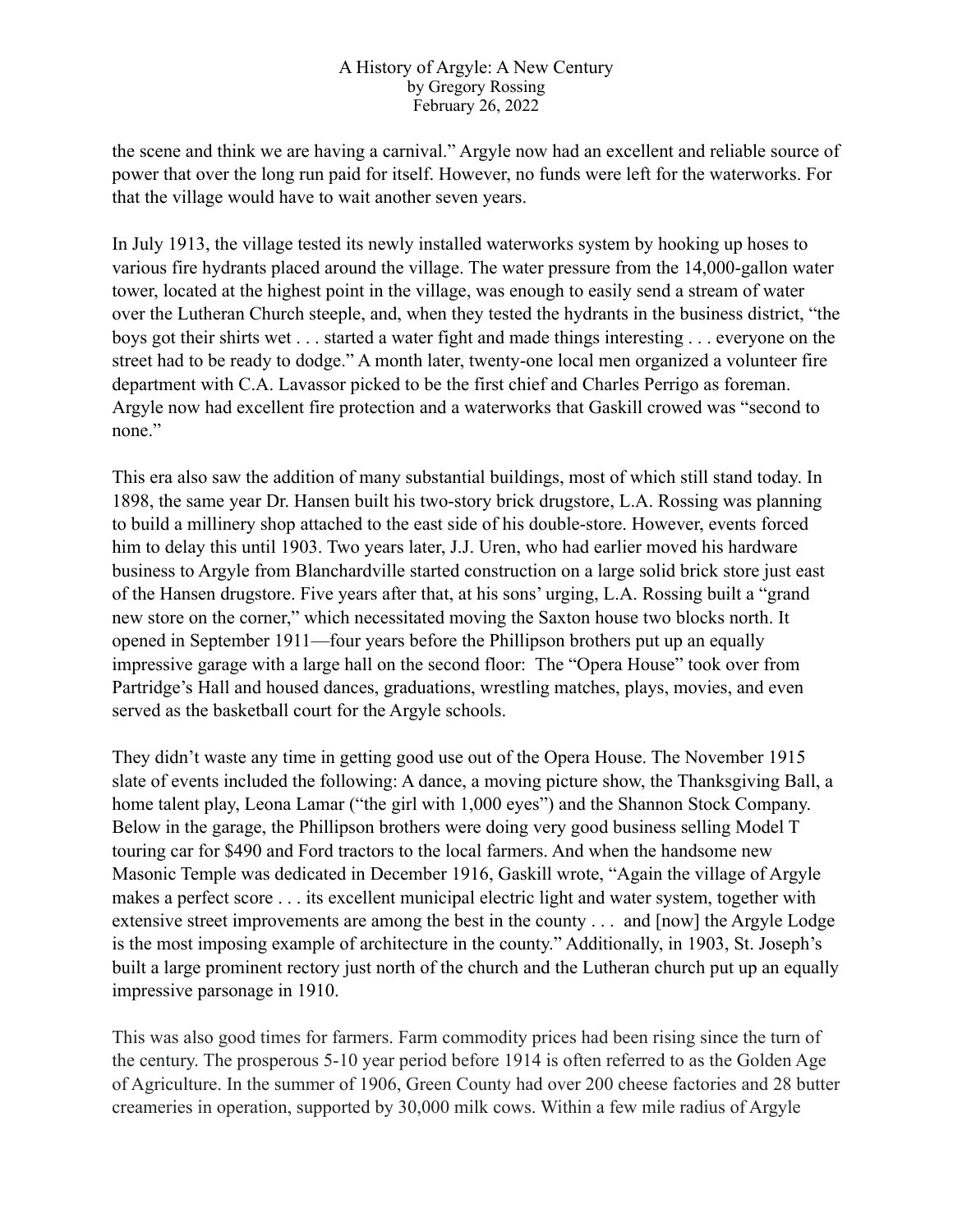## A History of Argyle: A New Century by Gregory Rossing February 26, 2022

the scene and think we are having a carnival." Argyle now had an excellent and reliable source of power that over the long run paid for itself. However, no funds were left for the waterworks. For that the village would have to wait another seven years.

In July 1913, the village tested its newly installed waterworks system by hooking up hoses to various fire hydrants placed around the village. The water pressure from the 14,000-gallon water tower, located at the highest point in the village, was enough to easily send a stream of water over the Lutheran Church steeple, and, when they tested the hydrants in the business district, "the boys got their shirts wet . . . started a water fight and made things interesting . . . everyone on the street had to be ready to dodge." A month later, twenty-one local men organized a volunteer fire department with C.A. Lavassor picked to be the first chief and Charles Perrigo as foreman. Argyle now had excellent fire protection and a waterworks that Gaskill crowed was "second to none."

This era also saw the addition of many substantial buildings, most of which still stand today. In 1898, the same year Dr. Hansen built his two-story brick drugstore, L.A. Rossing was planning to build a millinery shop attached to the east side of his double-store. However, events forced him to delay this until 1903. Two years later, J.J. Uren, who had earlier moved his hardware business to Argyle from Blanchardville started construction on a large solid brick store just east of the Hansen drugstore. Five years after that, at his sons' urging, L.A. Rossing built a "grand new store on the corner," which necessitated moving the Saxton house two blocks north. It opened in September 1911—four years before the Phillipson brothers put up an equally impressive garage with a large hall on the second floor: The "Opera House" took over from Partridge's Hall and housed dances, graduations, wrestling matches, plays, movies, and even served as the basketball court for the Argyle schools.

They didn't waste any time in getting good use out of the Opera House. The November 1915 slate of events included the following: A dance, a moving picture show, the Thanksgiving Ball, a home talent play, Leona Lamar ("the girl with 1,000 eyes") and the Shannon Stock Company. Below in the garage, the Phillipson brothers were doing very good business selling Model T touring car for \$490 and Ford tractors to the local farmers. And when the handsome new Masonic Temple was dedicated in December 1916, Gaskill wrote, "Again the village of Argyle makes a perfect score . . . its excellent municipal electric light and water system, together with extensive street improvements are among the best in the county . . . and [now] the Argyle Lodge is the most imposing example of architecture in the county." Additionally, in 1903, St. Joseph's built a large prominent rectory just north of the church and the Lutheran church put up an equally impressive parsonage in 1910.

This was also good times for farmers. Farm commodity prices had been rising since the turn of the century. The prosperous 5-10 year period before 1914 is often referred to as the Golden Age of Agriculture. In the summer of 1906, Green County had over 200 cheese factories and 28 butter creameries in operation, supported by 30,000 milk cows. Within a few mile radius of Argyle